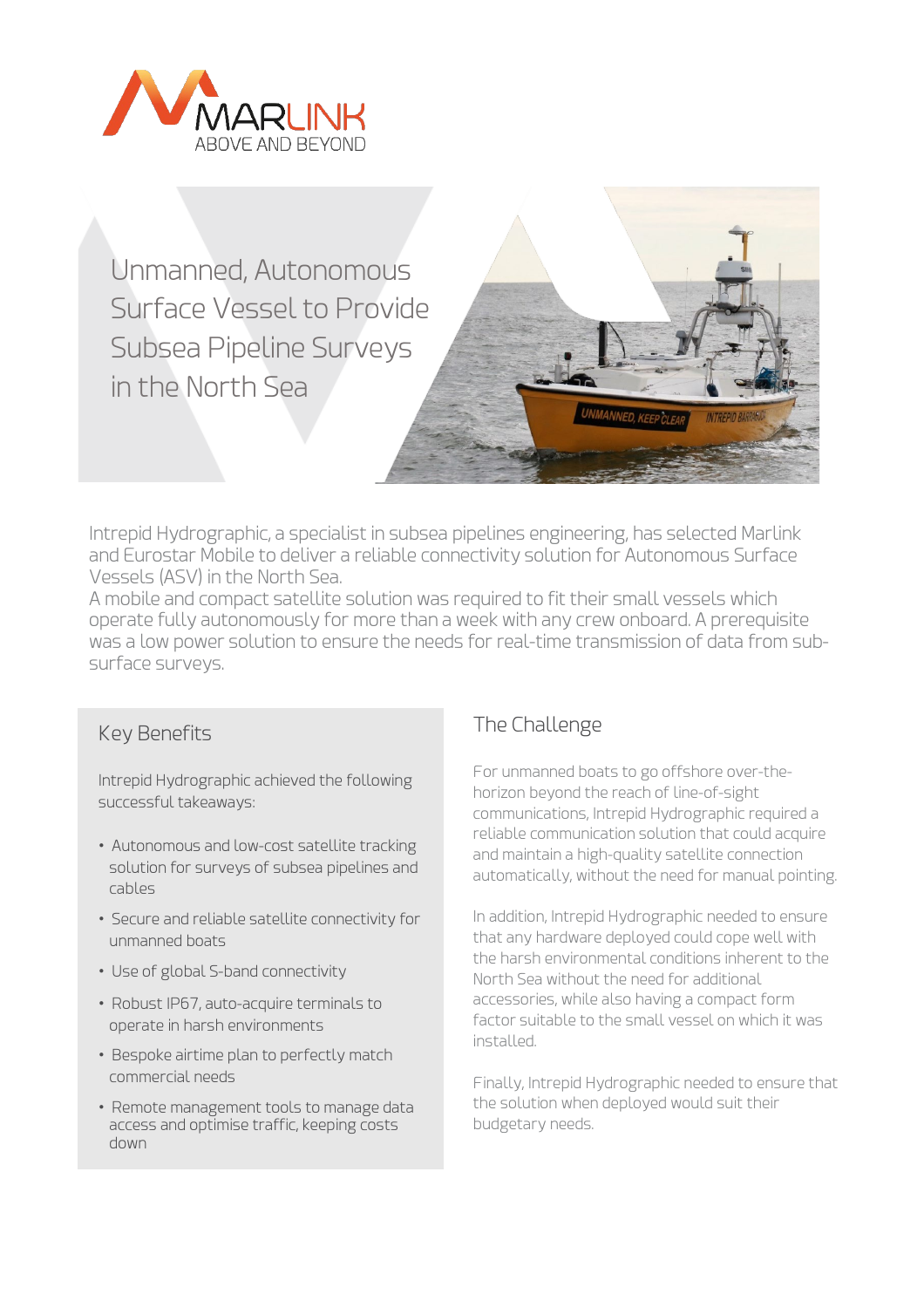

Unmanned, Autonomous Surface Vessel to Provide Subsea Pipeline Surveys in the North Sea



Intrepid Hydrographic, a specialist in subsea pipelines engineering, has selected Marlink and Eurostar Mobile to deliver a reliable connectivity solution for Autonomous Surface Vessels (ASV) in the North Sea.

A mobile and compact satellite solution was required to fit their small vessels which operate fully autonomously for more than a week with any crew onboard. A prerequisite was a low power solution to ensure the needs for real-time transmission of data from subsurface surveys.

#### Key Benefits

Intrepid Hydrographic achieved the following successful takeaways:

- Autonomous and low-cost satellite tracking solution for surveys of subsea pipelines and cables
- Secure and reliable satellite connectivity for unmanned boats
- Use of global S-band connectivity
- Robust IP67, auto-acquire terminals to operate in harsh environments
- Bespoke airtime plan to perfectly match commercial needs
- Remote management tools to manage data access and optimise traffic, keeping costs down

# The Challenge

For unmanned boats to go offshore over-thehorizon beyond the reach of line-of-sight communications, Intrepid Hydrographic required a reliable communication solution that could acquire and maintain a high-quality satellite connection automatically, without the need for manual pointing.

In addition, Intrepid Hydrographic needed to ensure that any hardware deployed could cope well with the harsh environmental conditions inherent to the North Sea without the need for additional accessories, while also having a compact form factor suitable to the small vessel on which it was installed.

Finally, Intrepid Hydrographic needed to ensure that the solution when deployed would suit their budgetary needs.